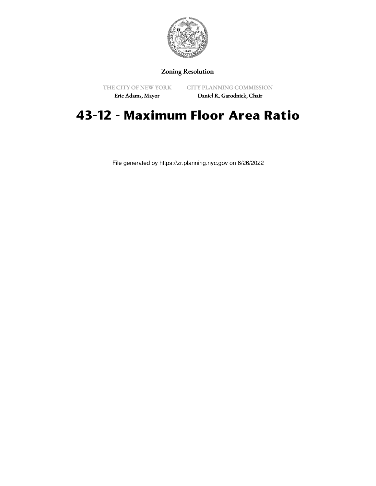

## Zoning Resolution

THE CITY OF NEW YORK Eric Adams, Mayor

CITY PLANNING COMMISSION

Daniel R. Garodnick, Chair

# **43-12 - Maximum Floor Area Ratio**

File generated by https://zr.planning.nyc.gov on 6/26/2022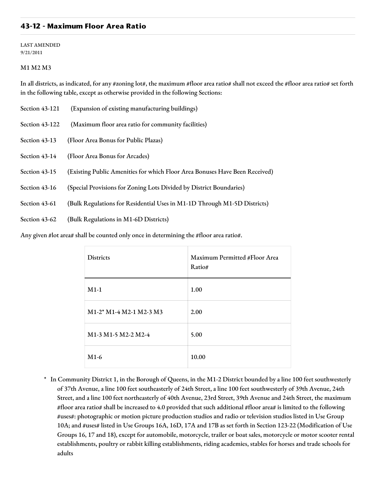#### **43-12 - Maximum Floor Area Ratio**

LAST AMENDED 9/21/2011

#### M1 M2 M3

In all districts, as indicated, for any #zoning lot#, the maximum #floor area ratio# shall not exceed the #floor area ratio# set forth in the following table, except as otherwise provided in the following Sections:

- Section 43-121 (Expansion of existing manufacturing buildings)
- Section 43-122 (Maximum floor area ratio for community facilities)
- Section 43-13 (Floor Area Bonus for Public Plazas)

Section 43-14 (Floor Area Bonus for Arcades)

- Section 43-15 (Existing Public Amenities for which Floor Area Bonuses Have Been Received)
- Section 43-16 (Special Provisions for Zoning Lots Divided by District Boundaries)
- Section 43-61 (Bulk Regulations for Residential Uses in M1-1D Through M1-5D Districts)
- Section 43-62 (Bulk Regulations in M1-6D Districts)

Any given #lot area# shall be counted only once in determining the #floor area ratio#.

| <b>Districts</b>                                                                         | Maximum Permitted #Floor Area<br>Ratio# |
|------------------------------------------------------------------------------------------|-----------------------------------------|
| $M1-1$                                                                                   | 1.00                                    |
| $M1-2$ <sup>*</sup> M <sub>1</sub> -4 M <sub>2</sub> -1 M <sub>2</sub> -3 M <sub>3</sub> | 2.00                                    |
| M <sub>1</sub> -3 M <sub>1</sub> -5 M <sub>2</sub> -2 M <sub>2</sub> -4                  | 5.00                                    |
| $M1-6$                                                                                   | 10.00                                   |

\* In Community District 1, in the Borough of Queens, in the M1-2 District bounded by a line 100 feet southwesterly of 37th Avenue, a line 100 feet southeasterly of 24th Street, a line 100 feet southwesterly of 39th Avenue, 24th Street, and a line 100 feet northeasterly of 40th Avenue, 23rd Street, 39th Avenue and 24th Street, the maximum #floor area ratio# shall be increased to 4.0 provided that such additional #floor area# is limited to the following #uses#: photographic or motion picture production studios and radio or television studios listed in Use Group 10A; and #uses# listed in Use Groups 16A, 16D, 17A and 17B as set forth in Section 123-22 (Modification of Use Groups 16, 17 and 18), except for automobile, motorcycle, trailer or boat sales, motorcycle or motor scooter rental establishments, poultry or rabbit killing establishments, riding academies, stables for horses and trade schools for adults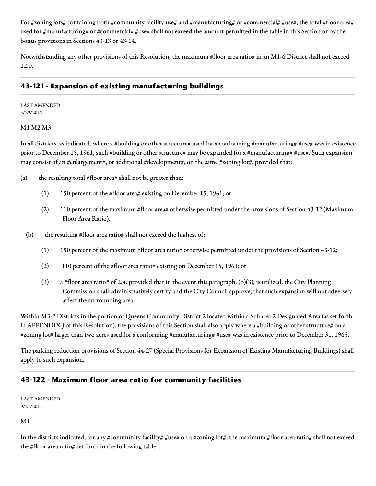For #zoning lots# containing both #community facility use# and #manufacturing# or #commercial# #use#, the total #floor area# used for #manufacturing# or #commercial# #use# shall not exceed the amount permitted in the table in this Section or by the bonus provisions in Sections 43-13 or 43-14.

Notwithstanding any other provisions of this Resolution, the maximum #floor area ratio# in an M1-6 District shall not exceed 12.0.

# **43-121 - Expansion of existing manufacturing buildings**

LAST AMENDED 5/29/2019

#### M1 M2 M3

In all districts, as indicated, where a #building or other structure# used for a conforming #manufacturing# #use# was in existence prior to December 15, 1961, such #building or other structure# may be expanded for a #manufacturing# #use#. Such expansion may consist of an #enlargement#, or additional #development#, on the same #zoning lot#, provided that:

- (a) the resulting total  $#floor$  area# shall not be greater than:
	- (1) 150 percent of the #floor area# existing on December 15, 1961; or
	- (2) 110 percent of the maximum #floor area# otherwise permitted under the provisions of Section 43-12 (Maximum Floor Area Ratio).
	- (b) the resulting #floor area ratio# shall not exceed the highest of:
		- (1) 150 percent of the maximum #floor area ratio# otherwise permitted under the provisions of Section 43-12;
		- (2) 110 percent of the #floor area ratio# existing on December 15, 1961; or
		- (3) a #floor area ratio# of 2.4, provided that in the event this paragraph, (b)(3), is utilized, the City Planning Commission shall administratively certify and the City Council approve, that such expansion will not adversely affect the surrounding area.

Within M3-2 Districts in the portion of Queens Community District 2 located within a Subarea 2 Designated Area (as set forth in APPENDIX J of this Resolution), the provisions of this Section shall also apply where a #building or other structure# on a #zoning lot# larger than two acres used for a conforming #manufacturing# #use# was in existence prior to December 31, 1965.

The parking reduction provisions of Section 44-27 (Special Provisions for Expansion of Existing Manufacturing Buildings) shall apply to such expansion.

### **43-122 - Maximum floor area ratio for community facilities**

LAST AMENDED 9/21/2011

M1

In the districts indicated, for any #community facility# #use# on a #zoning lot#, the maximum #floor area ratio# shall not exceed the #floor area ratio# set forth in the following table: